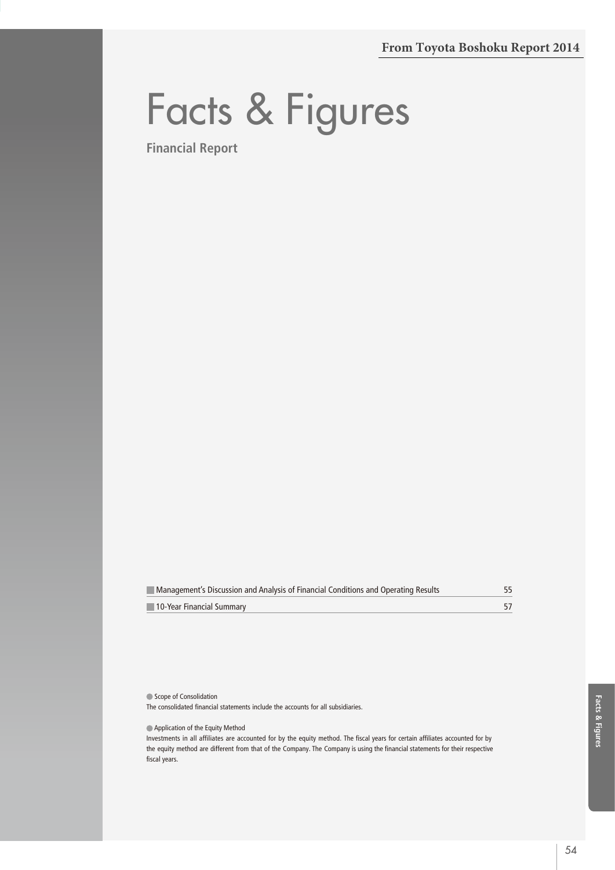# Facts & Figures

**Financial Report**

| Management's Discussion and Analysis of Financial Conditions and Operating Results |  |
|------------------------------------------------------------------------------------|--|
| 10-Year Financial Summary                                                          |  |

Scope of Consolidation

The consolidated financial statements include the accounts for all subsidiaries.

Application of the Equity Method

Investments in all affiliates are accounted for by the equity method. The fiscal years for certain affiliates accounted for by the equity method are different from that of the Company. The Company is using the financial statements for their respective fiscal years.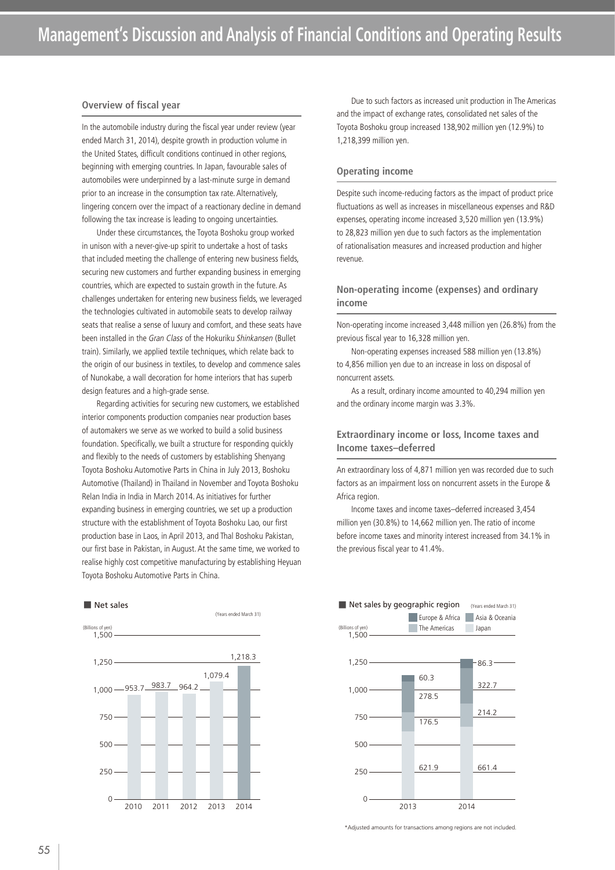#### **Overview of fiscal year**

In the automobile industry during the fiscal year under review (year ended March 31, 2014), despite growth in production volume in the United States, difficult conditions continued in other regions, beginning with emerging countries. In Japan, favourable sales of automobiles were underpinned by a last-minute surge in demand prior to an increase in the consumption tax rate. Alternatively, lingering concern over the impact of a reactionary decline in demand following the tax increase is leading to ongoing uncertainties.

Under these circumstances, the Toyota Boshoku group worked in unison with a never-give-up spirit to undertake a host of tasks that included meeting the challenge of entering new business fields, securing new customers and further expanding business in emerging countries, which are expected to sustain growth in the future. As challenges undertaken for entering new business fields, we leveraged the technologies cultivated in automobile seats to develop railway seats that realise a sense of luxury and comfort, and these seats have been installed in the Gran Class of the Hokuriku Shinkansen (Bullet train). Similarly, we applied textile techniques, which relate back to the origin of our business in textiles, to develop and commence sales of Nunokabe, a wall decoration for home interiors that has superb design features and a high-grade sense.

Regarding activities for securing new customers, we established interior components production companies near production bases of automakers we serve as we worked to build a solid business foundation. Specifically, we built a structure for responding quickly and flexibly to the needs of customers by establishing Shenyang Toyota Boshoku Automotive Parts in China in July 2013, Boshoku Automotive (Thailand) in Thailand in November and Toyota Boshoku Relan India in India in March 2014. As initiatives for further expanding business in emerging countries, we set up a production structure with the establishment of Toyota Boshoku Lao, our first production base in Laos, in April 2013, and Thal Boshoku Pakistan, our first base in Pakistan, in August. At the same time, we worked to realise highly cost competitive manufacturing by establishing Heyuan Toyota Boshoku Automotive Parts in China.

■ Net sales



Due to such factors as increased unit production in The Americas and the impact of exchange rates, consolidated net sales of the Toyota Boshoku group increased 138,902 million yen (12.9%) to 1,218,399 million yen.

## **Operating income**

Despite such income-reducing factors as the impact of product price fluctuations as well as increases in miscellaneous expenses and R&D expenses, operating income increased 3,520 million yen (13.9%) to 28,823 million yen due to such factors as the implementation of rationalisation measures and increased production and higher revenue.

# **Non-operating income (expenses) and ordinary income**

Non-operating income increased 3,448 million yen (26.8%) from the previous fiscal year to 16,328 million yen.

Non-operating expenses increased 588 million yen (13.8%) to 4,856 million yen due to an increase in loss on disposal of noncurrent assets.

As a result, ordinary income amounted to 40,294 million yen and the ordinary income margin was 3.3%.

## **Extraordinary income or loss, Income taxes and Income taxes–deferred**

An extraordinary loss of 4,871 million yen was recorded due to such factors as an impairment loss on noncurrent assets in the Europe & Africa region.

Income taxes and income taxes–deferred increased 3,454 million yen (30.8%) to 14,662 million yen. The ratio of income before income taxes and minority interest increased from 34.1% in the previous fiscal year to 41.4%.



\*Adjusted amounts for transactions among regions are not included.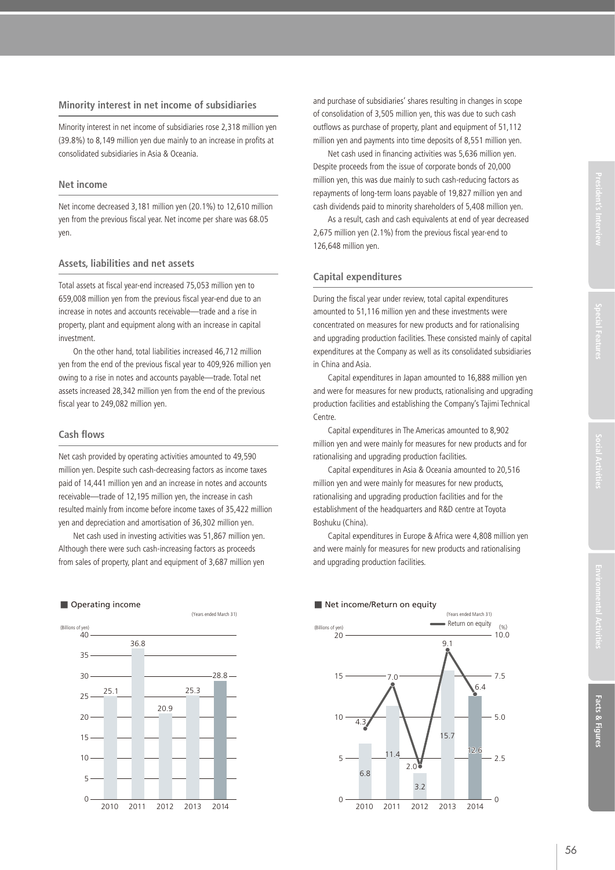## **Minority interest in net income of subsidiaries**

Minority interest in net income of subsidiaries rose 2,318 million yen (39.8%) to 8,149 million yen due mainly to an increase in profits at consolidated subsidiaries in Asia & Oceania.

### **Net income**

Net income decreased 3,181 million yen (20.1%) to 12,610 million yen from the previous fiscal year. Net income per share was 68.05 yen.

#### **Assets, liabilities and net assets**

Total assets at fiscal year-end increased 75,053 million yen to 659,008 million yen from the previous fiscal year-end due to an increase in notes and accounts receivable—trade and a rise in property, plant and equipment along with an increase in capital investment.

On the other hand, total liabilities increased 46,712 million yen from the end of the previous fiscal year to 409,926 million yen owing to a rise in notes and accounts payable—trade. Total net assets increased 28,342 million yen from the end of the previous fiscal year to 249,082 million yen.

## **Cash flows**

Net cash provided by operating activities amounted to 49,590 million yen. Despite such cash-decreasing factors as income taxes paid of 14,441 million yen and an increase in notes and accounts receivable—trade of 12,195 million yen, the increase in cash resulted mainly from income before income taxes of 35,422 million yen and depreciation and amortisation of 36,302 million yen.

Net cash used in investing activities was 51,867 million yen. Although there were such cash-increasing factors as proceeds from sales of property, plant and equipment of 3,687 million yen

#### ■ Operating income



and purchase of subsidiaries' shares resulting in changes in scope of consolidation of 3,505 million yen, this was due to such cash outflows as purchase of property, plant and equipment of 51,112 million yen and payments into time deposits of 8,551 million yen.

Net cash used in financing activities was 5,636 million yen. Despite proceeds from the issue of corporate bonds of 20,000 million yen, this was due mainly to such cash-reducing factors as repayments of long-term loans payable of 19,827 million yen and cash dividends paid to minority shareholders of 5,408 million yen.

As a result, cash and cash equivalents at end of year decreased 2,675 million yen (2.1%) from the previous fiscal year-end to 126,648 million yen.

## **Capital expenditures**

During the fiscal year under review, total capital expenditures amounted to 51,116 million yen and these investments were concentrated on measures for new products and for rationalising and upgrading production facilities. These consisted mainly of capital expenditures at the Company as well as its consolidated subsidiaries in China and Asia.

Capital expenditures in Japan amounted to 16,888 million yen and were for measures for new products, rationalising and upgrading production facilities and establishing the Company's Tajimi Technical Centre.

Capital expenditures in The Americas amounted to 8,902 million yen and were mainly for measures for new products and for rationalising and upgrading production facilities.

Capital expenditures in Asia & Oceania amounted to 20,516 million yen and were mainly for measures for new products, rationalising and upgrading production facilities and for the establishment of the headquarters and R&D centre at Toyota Boshuku (China).

Capital expenditures in Europe & Africa were 4,808 million yen and were mainly for measures for new products and rationalising and upgrading production facilities.

# ■ Net income/Return on equity

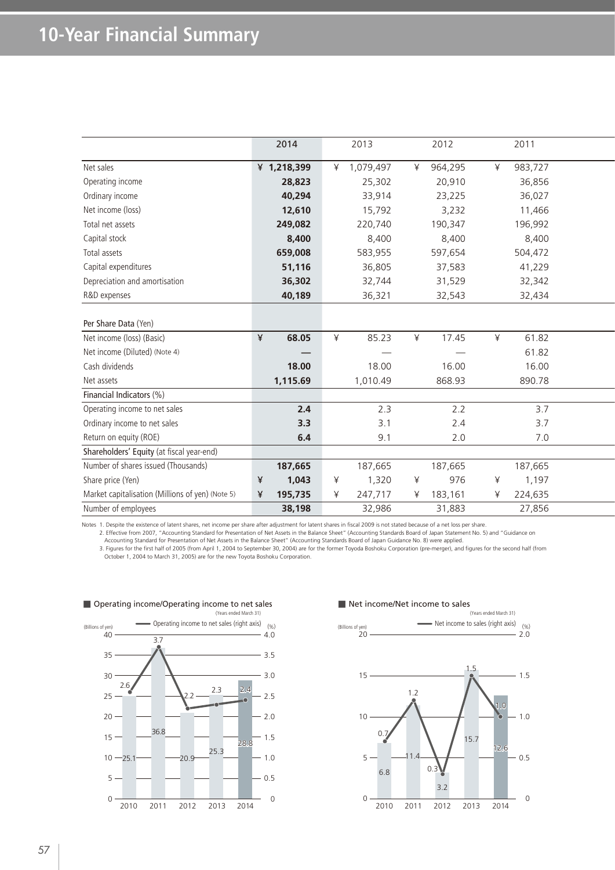|                                                  | 2014        |          | 2013      |   | 2012              |   | 2011    |  |
|--------------------------------------------------|-------------|----------|-----------|---|-------------------|---|---------|--|
| Net sales                                        | ¥ 1,218,399 | ¥        | 1,079,497 | ¥ | 964,295           | ¥ | 983,727 |  |
| Operating income                                 | 28,823      |          | 25,302    |   | 20,910            |   | 36,856  |  |
| Ordinary income                                  | 40,294      |          | 33,914    |   | 23,225            |   | 36,027  |  |
| Net income (loss)                                | 12,610      |          | 15,792    |   | 3,232             |   | 11,466  |  |
| Total net assets                                 | 249,082     |          | 220,740   |   | 190,347           |   | 196,992 |  |
| Capital stock                                    | 8,400       |          | 8,400     |   | 8,400             |   | 8,400   |  |
| Total assets                                     | 659,008     |          | 583,955   |   | 597,654           |   | 504,472 |  |
| Capital expenditures                             | 51,116      |          | 36,805    |   | 37,583            |   | 41,229  |  |
| Depreciation and amortisation                    | 36,302      |          | 32,744    |   | 31,529            |   | 32,342  |  |
| R&D expenses                                     | 40,189      |          | 36,321    |   | 32,543            |   | 32,434  |  |
|                                                  |             |          |           |   |                   |   |         |  |
| Per Share Data (Yen)                             |             |          |           |   |                   |   |         |  |
| Net income (loss) (Basic)                        | 68.05       | $\angle$ | 85.23     | ¥ | 17.45             | ¥ | 61.82   |  |
| Net income (Diluted) (Note 4)                    |             |          |           |   | $\hspace{0.05cm}$ |   | 61.82   |  |
| Cash dividends                                   | 18.00       |          | 18.00     |   | 16.00             |   | 16.00   |  |
| Net assets                                       | 1,115.69    |          | 1,010.49  |   | 868.93            |   | 890.78  |  |
| Financial Indicators (%)                         |             |          |           |   |                   |   |         |  |
| Operating income to net sales                    | 2.4         |          | 2.3       |   | 2.2               |   | 3.7     |  |
| Ordinary income to net sales                     | 3.3         |          | 3.1       |   | 2.4               |   | 3.7     |  |
| Return on equity (ROE)                           | 6.4         |          | 9.1       |   | 2.0               |   | 7.0     |  |
| Shareholders' Equity (at fiscal year-end)        |             |          |           |   |                   |   |         |  |
| Number of shares issued (Thousands)              | 187,665     |          | 187,665   |   | 187,665           |   | 187,665 |  |
| Share price (Yen)                                | 1,043       | ¥        | 1,320     | ¥ | 976               | ¥ | 1,197   |  |
| Market capitalisation (Millions of yen) (Note 5) | 195,735     | ⊻        | 247,717   | ¥ | 183,161           | ¥ | 224,635 |  |
| Number of employees                              | 38,198      |          | 32,986    |   | 31,883            |   | 27,856  |  |
|                                                  |             |          |           |   |                   |   |         |  |

Notes 1. Despite the existence of latent shares, net income per share after adjustment for latent shares in fiscal 2009 is not stated because of a net loss per share.

2. Effective from 2007, "Accounting Standard for Presentation of Net Assets in the Balance Sheet" (Accounting Standards Board of Japan Statement No. 5) and "Guidance on<br>Accounting Standard for Presentation of Net Assets in October 1, 2004 to March 31, 2005) are for the new Toyota Boshoku Corporation.



#### ■ Net income/Net income to sales